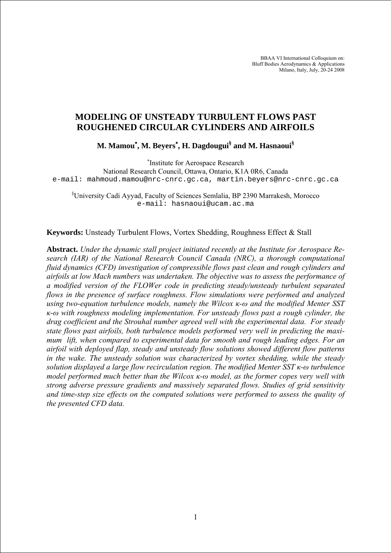BBAA VI International Colloquium on: Bluff Bodies Aerodynamics & Applications Milano, Italy, July, 20-24 2008

# **MODELING OF UNSTEADY TURBULENT FLOWS PAST ROUGHENED CIRCULAR CYLINDERS AND AIRFOILS**

**M. Mamou**<sup>∗</sup> **, M. Beyers**<sup>∗</sup> **, H. Dagdougui§ and M. Hasnaoui§** 

∗ Institute for Aerospace Research

National Research Council, Ottawa, Ontario, K1A 0R6, Canada e-mail: mahmoud.mamou@nrc-cnrc.gc.ca, martin.beyers@nrc-cnrc.gc.ca

§ University Cadi Ayyad, Faculty of Sciences Semlalia, BP 2390 Marrakesh, Morocco e-mail: hasnaoui@ucam.ac.ma

**Keywords:** Unsteady Turbulent Flows, Vortex Shedding, Roughness Effect & Stall

**Abstract.** *Under the dynamic stall project initiated recently at the Institute for Aerospace Research (IAR) of the National Research Council Canada (NRC), a thorough computational fluid dynamics (CFD) investigation of compressible flows past clean and rough cylinders and airfoils at low Mach numbers was undertaken. The objective was to assess the performance of a modified version of the FLOWer code in predicting steady/unsteady turbulent separated flows in the presence of surface roughness. Flow simulations were performed and analyzed using two-equation turbulence models, namely the Wilcox κ-ω and the modified Menter SST κ-ω with roughness modeling implementation. For unsteady flows past a rough cylinder, the drag coefficient and the Strouhal number agreed well with the experimental data. For steady state flows past airfoils, both turbulence models performed very well in predicting the maximum lift, when compared to experimental data for smooth and rough leading edges. For an airfoil with deployed flap, steady and unsteady flow solutions showed different flow patterns in the wake. The unsteady solution was characterized by vortex shedding, while the steady solution displayed a large flow recirculation region. The modified Menter SST κ-ω turbulence model performed much better than the Wilcox κ-ω model, as the former copes very well with strong adverse pressure gradients and massively separated flows. Studies of grid sensitivity and time-step size effects on the computed solutions were performed to assess the quality of the presented CFD data.*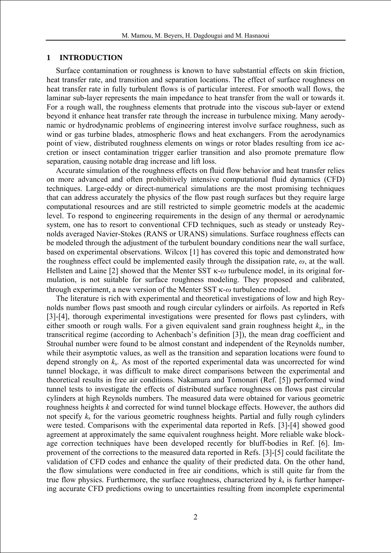### **1 INTRODUCTION**

Surface contamination or roughness is known to have substantial effects on skin friction, heat transfer rate, and transition and separation locations. The effect of surface roughness on heat transfer rate in fully turbulent flows is of particular interest. For smooth wall flows, the laminar sub-layer represents the main impedance to heat transfer from the wall or towards it. For a rough wall, the roughness elements that protrude into the viscous sub-layer or extend beyond it enhance heat transfer rate through the increase in turbulence mixing. Many aerodynamic or hydrodynamic problems of engineering interest involve surface roughness, such as wind or gas turbine blades, atmospheric flows and heat exchangers. From the aerodynamics point of view, distributed roughness elements on wings or rotor blades resulting from ice accretion or insect contamination trigger earlier transition and also promote premature flow separation, causing notable drag increase and lift loss.

Accurate simulation of the roughness effects on fluid flow behavior and heat transfer relies on more advanced and often prohibitively intensive computational fluid dynamics (CFD) techniques. Large-eddy or direct-numerical simulations are the most promising techniques that can address accurately the physics of the flow past rough surfaces but they require large computational resources and are still restricted to simple geometric models at the academic level. To respond to engineering requirements in the design of any thermal or aerodynamic system, one has to resort to conventional CFD techniques, such as steady or unsteady Reynolds averaged Navier-Stokes (RANS or URANS) simulations. Surface roughness effects can be modeled through the adjustment of the turbulent boundary conditions near the wall surface, based on experimental observations. Wilcox [1] has covered this topic and demonstrated how the roughness effect could be implemented easily through the dissipation rate,  $\omega$ , at the wall. Hellsten and Laine [2] showed that the Menter SST κ-*ω* turbulence model, in its original formulation, is not suitable for surface roughness modeling. They proposed and calibrated, through experiment, a new version of the Menter SST κ-*ω* turbulence model.

The literature is rich with experimental and theoretical investigations of low and high Reynolds number flows past smooth and rough circular cylinders or airfoils. As reported in Refs [3]-[4], thorough experimental investigations were presented for flows past cylinders, with either smooth or rough walls. For a given equivalent sand grain roughness height *ks*, in the transcritical regime (according to Achenbach's definition [3]), the mean drag coefficient and Strouhal number were found to be almost constant and independent of the Reynolds number, while their asymptotic values, as well as the transition and separation locations were found to depend strongly on *k*s. As most of the reported experimental data was uncorrected for wind tunnel blockage, it was difficult to make direct comparisons between the experimental and theoretical results in free air conditions. Nakamura and Tomonari (Ref. [5]) performed wind tunnel tests to investigate the effects of distributed surface roughness on flows past circular cylinders at high Reynolds numbers. The measured data were obtained for various geometric roughness heights *k* and corrected for wind tunnel blockage effects. However, the authors did not specify *k*s for the various geometric roughness heights. Partial and fully rough cylinders were tested. Comparisons with the experimental data reported in Refs. [3]-[4] showed good agreement at approximately the same equivalent roughness height. More reliable wake blockage correction techniques have been developed recently for bluff-bodies in Ref. [6]. Improvement of the corrections to the measured data reported in Refs. [3]-[5] could facilitate the validation of CFD codes and enhance the quality of their predicted data. On the other hand, the flow simulations were conducted in free air conditions, which is still quite far from the true flow physics. Furthermore, the surface roughness, characterized by  $k_s$  is further hampering accurate CFD predictions owing to uncertainties resulting from incomplete experimental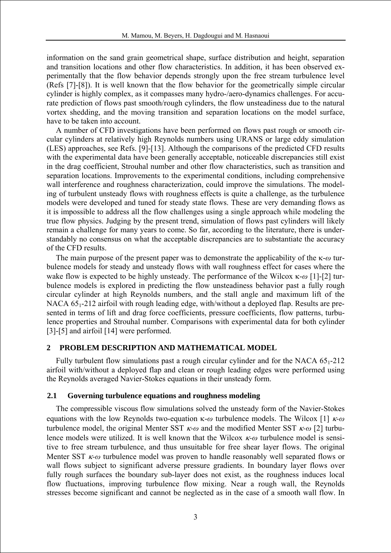information on the sand grain geometrical shape, surface distribution and height, separation and transition locations and other flow characteristics. In addition, it has been observed experimentally that the flow behavior depends strongly upon the free stream turbulence level (Refs [7]-[8]). It is well known that the flow behavior for the geometrically simple circular cylinder is highly complex, as it compasses many hydro-/aero-dynamics challenges. For accurate prediction of flows past smooth/rough cylinders, the flow unsteadiness due to the natural vortex shedding, and the moving transition and separation locations on the model surface, have to be taken into account.

A number of CFD investigations have been performed on flows past rough or smooth circular cylinders at relatively high Reynolds numbers using URANS or large eddy simulation (LES) approaches, see Refs. [9]-[13]. Although the comparisons of the predicted CFD results with the experimental data have been generally acceptable, noticeable discrepancies still exist in the drag coefficient, Strouhal number and other flow characteristics, such as transition and separation locations. Improvements to the experimental conditions, including comprehensive wall interference and roughness characterization, could improve the simulations. The modeling of turbulent unsteady flows with roughness effects is quite a challenge, as the turbulence models were developed and tuned for steady state flows. These are very demanding flows as it is impossible to address all the flow challenges using a single approach while modeling the true flow physics. Judging by the present trend, simulation of flows past cylinders will likely remain a challenge for many years to come. So far, according to the literature, there is understandably no consensus on what the acceptable discrepancies are to substantiate the accuracy of the CFD results.

The main purpose of the present paper was to demonstrate the applicability of the κ-*ω* turbulence models for steady and unsteady flows with wall roughness effect for cases where the wake flow is expected to be highly unsteady. The performance of the Wilcox κ-*ω* [1]-[2] turbulence models is explored in predicting the flow unsteadiness behavior past a fully rough circular cylinder at high Reynolds numbers, and the stall angle and maximum lift of the NACA  $65<sub>1</sub>$ -212 airfoil with rough leading edge, with/without a deployed flap. Results are presented in terms of lift and drag force coefficients, pressure coefficients, flow patterns, turbulence properties and Strouhal number. Comparisons with experimental data for both cylinder [3]-[5] and airfoil [14] were performed.

## **2 PROBLEM DESCRIPTION AND MATHEMATICAL MODEL**

Fully turbulent flow simulations past a rough circular cylinder and for the NACA  $65<sub>1</sub>$ -212 airfoil with/without a deployed flap and clean or rough leading edges were performed using the Reynolds averaged Navier-Stokes equations in their unsteady form.

## **2.1 Governing turbulence equations and roughness modeling**

The compressible viscous flow simulations solved the unsteady form of the Navier-Stokes equations with the low Reynolds two-equation κ-*ω* turbulence models. The Wilcox [1] κ*-ω* turbulence model, the original Menter SST κ*-ω* and the modified Menter SST κ*-ω* [2] turbulence models were utilized. It is well known that the Wilcox κ*-ω* turbulence model is sensitive to free stream turbulence, and thus unsuitable for free shear layer flows. The original Menter SST κ*-ω* turbulence model was proven to handle reasonably well separated flows or wall flows subject to significant adverse pressure gradients. In boundary layer flows over fully rough surfaces the boundary sub-layer does not exist, as the roughness induces local flow fluctuations, improving turbulence flow mixing. Near a rough wall, the Reynolds stresses become significant and cannot be neglected as in the case of a smooth wall flow. In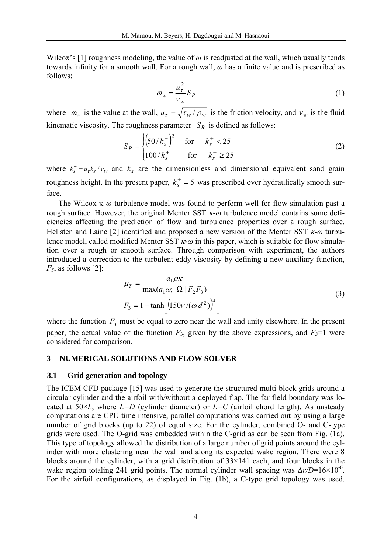Wilcox's [1] roughness modeling, the value of  $\omega$  is readjusted at the wall, which usually tends towards infinity for a smooth wall. For a rough wall, *ω* has a finite value and is prescribed as follows:

$$
\omega_{w} = \frac{u_{\tau}^{2}}{v_{w}} S_{R}
$$
 (1)

where  $\omega_w$  is the value at the wall,  $u_\tau = \sqrt{\tau_w / \rho_w}$  is the friction velocity, and  $v_w$  is the fluid kinematic viscosity. The roughness parameter  $S_R$  is defined as follows:

$$
S_R = \begin{cases} (50/k_s^+)^2 & \text{for} & k_s^+ < 25\\ 100/k_s^+ & \text{for} & k_s^+ \ge 25 \end{cases}
$$
 (2)

where  $k_s^+ = u_\tau k_s / v_w$  and  $k_s$  are the dimensionless and dimensional equivalent sand grain roughness height. In the present paper,  $k_s^+ = 5$  was prescribed over hydraulically smooth surface.

The Wilcox κ-*ω* turbulence model was found to perform well for flow simulation past a rough surface. However, the original Menter SST κ*-ω* turbulence model contains some deficiencies affecting the prediction of flow and turbulence properties over a rough surface. Hellsten and Laine [2] identified and proposed a new version of the Menter SST κ*-ω* turbulence model, called modified Menter SST κ*-ω* in this paper, which is suitable for flow simulation over a rough or smooth surface. Through comparison with experiment, the authors introduced a correction to the turbulent eddy viscosity by defining a new auxiliary function, *F3*, as follows [2]:

$$
\mu_T = \frac{a_1 \rho \kappa}{\max(a_1 \omega; |\Omega| F_2 F_3)}
$$
  
\n
$$
F_3 = 1 - \tanh\left[\left(150 \nu / (\omega d^2)\right)^4\right]
$$
\n(3)

where the function  $F_3$  must be equal to zero near the wall and unity elsewhere. In the present paper, the actual value of the function  $F_3$ , given by the above expressions, and  $F_3=1$  were considered for comparison.

## **3 NUMERICAL SOLUTIONS AND FLOW SOLVER**

#### **3.1 Grid generation and topology**

The ICEM CFD package [15] was used to generate the structured multi-block grids around a circular cylinder and the airfoil with/without a deployed flap. The far field boundary was located at  $50\times L$ , where  $L=D$  (cylinder diameter) or  $L=C$  (airfoil chord length). As unsteady computations are CPU time intensive, parallel computations was carried out by using a large number of grid blocks (up to 22) of equal size. For the cylinder, combined O- and C-type grids were used. The O-grid was embedded within the C-grid as can be seen from Fig. (1a). This type of topology allowed the distribution of a large number of grid points around the cylinder with more clustering near the wall and along its expected wake region. There were 8 blocks around the cylinder, with a grid distribution of  $33 \times 141$  each, and four blocks in the wake region totaling 241 grid points. The normal cylinder wall spacing was  $\Delta r/D=16\times10^{-6}$ . For the airfoil configurations, as displayed in Fig. (1b), a C-type grid topology was used.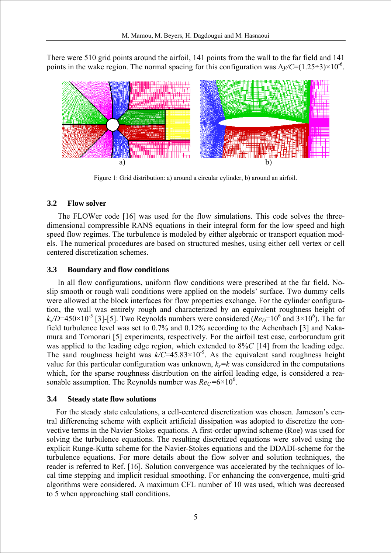There were 510 grid points around the airfoil, 141 points from the wall to the far field and 141 points in the wake region. The normal spacing for this configuration was  $\Delta y/C=(1.25\div 3)\times 10^{-6}$ .



Figure 1: Grid distribution: a) around a circular cylinder, b) around an airfoil.

#### **3.2 Flow solver**

The FLOWer code [16] was used for the flow simulations. This code solves the threedimensional compressible RANS equations in their integral form for the low speed and high speed flow regimes. The turbulence is modeled by either algebraic or transport equation models. The numerical procedures are based on structured meshes, using either cell vertex or cell centered discretization schemes.

#### **3.3 Boundary and flow conditions**

In all flow configurations, uniform flow conditions were prescribed at the far field. Noslip smooth or rough wall conditions were applied on the models' surface. Two dummy cells were allowed at the block interfaces for flow properties exchange. For the cylinder configuration, the wall was entirely rough and characterized by an equivalent roughness height of  $k_s/D$ =450×10<sup>-5</sup> [3]-[5]. Two Reynolds numbers were considered ( $Re_D$ =10<sup>6</sup> and 3×10<sup>6</sup>). The far field turbulence level was set to 0.7% and 0.12% according to the Achenbach [3] and Nakamura and Tomonari [5] experiments, respectively. For the airfoil test case, carborundum grit was applied to the leading edge region, which extended to 8%*C* [14] from the leading edge. The sand roughness height was  $k/C=45.83\times10^{-5}$ . As the equivalent sand roughness height value for this particular configuration was unknown,  $k<sub>s</sub>=k$  was considered in the computations which, for the sparse roughness distribution on the airfoil leading edge, is considered a reasonable assumption. The Reynolds number was  $Re<sub>C</sub> = 6 \times 10^6$ .

#### **3.4 Steady state flow solutions**

For the steady state calculations, a cell-centered discretization was chosen. Jameson's central differencing scheme with explicit artificial dissipation was adopted to discretize the convective terms in the Navier-Stokes equations. A first-order upwind scheme (Roe) was used for solving the turbulence equations. The resulting discretized equations were solved using the explicit Runge-Kutta scheme for the Navier-Stokes equations and the DDADI-scheme for the turbulence equations. For more details about the flow solver and solution techniques, the reader is referred to Ref. [16]. Solution convergence was accelerated by the techniques of local time stepping and implicit residual smoothing. For enhancing the convergence, multi-grid algorithms were considered. A maximum CFL number of 10 was used, which was decreased to 5 when approaching stall conditions.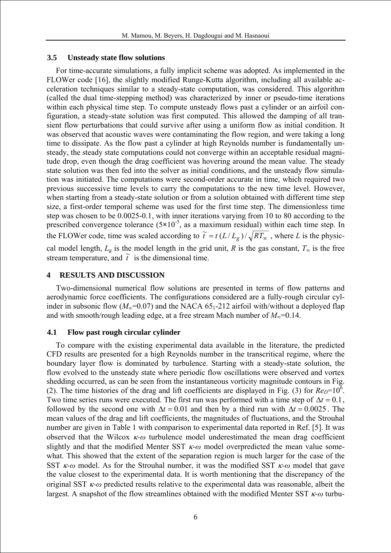## **3.5 Unsteady state flow solutions**

For time-accurate simulations, a fully implicit scheme was adopted. As implemented in the FLOWer code [16], the slightly modified Runge-Kutta algorithm, including all available acceleration techniques similar to a steady-state computation, was considered. This algorithm (called the dual time-stepping method) was characterized by inner or pseudo-time iterations within each physical time step. To compute unsteady flows past a cylinder or an airfoil configuration, a steady-state solution was first computed. This allowed the damping of all transient flow perturbations that could survive after using a uniform flow as initial condition. It was observed that acoustic waves were contaminating the flow region, and were taking a long time to dissipate. As the flow past a cylinder at high Reynolds number is fundamentally unsteady, the steady state computations could not converge within an acceptable residual magnitude drop, even though the drag coefficient was hovering around the mean value. The steady state solution was then fed into the solver as initial conditions, and the unsteady flow simulation was initiated. The computations were second-order accurate in time, which required two previous successive time levels to carry the computations to the new time level. However, when starting from a steady-state solution or from a solution obtained with different time step size, a first-order temporal scheme was used for the first time step. The dimensionless time step was chosen to be 0.0025-0.1, with inner iterations varying from 10 to 80 according to the prescribed convergence tolerance (5×10<sup>-5</sup>, as a maximum residual) within each time step. In the FLOWer code, time was scaled according to  $\tilde{t} = t(L/L_g)/\sqrt{RT_\infty}$ , where *L* is the physiccal model length,  $L_g$  is the model length in the grid unit, *R* is the gas constant,  $T_\infty$  is the free stream temperature, and  $\tilde{t}$  is the dimensional time.

## **4 RESULTS AND DISCUSSION**

Two-dimensional numerical flow solutions are presented in terms of flow patterns and aerodynamic force coefficients. The configurations considered are a fully-rough circular cylinder in subsonic flow ( $M_{\infty}$ =0.07) and the NACA 65<sub>1</sub>-212 airfoil with/without a deployed flap and with smooth/rough leading edge, at a free stream Mach number of  $M_{\infty}$ =0.14.

## **4.1 Flow past rough circular cylinder**

To compare with the existing experimental data available in the literature, the predicted CFD results are presented for a high Reynolds number in the transcritical regime, where the boundary layer flow is dominated by turbulence. Starting with a steady-state solution, the flow evolved to the unsteady state where periodic flow oscillations were observed and vortex shedding occurred, as can be seen from the instantaneous vorticity magnitude contours in Fig. (2). The time histories of the drag and lift coefficients are displayed in Fig. (3) for  $Re_D=10^6$ . Two time series runs were executed. The first run was performed with a time step of  $\Delta t = 0.1$ , followed by the second one with  $\Delta t = 0.01$  and then by a third run with  $\Delta t = 0.0025$ . The mean values of the drag and lift coefficients, the magnitudes of fluctuations, and the Strouhal number are given in Table 1 with comparison to experimental data reported in Ref. [5]. It was observed that the Wilcox κ*-ω* turbulence model underestimated the mean drag coefficient slightly and that the modified Menter SST κ*-ω* model overpredicted the mean value somewhat. This showed that the extent of the separation region is much larger for the case of the SST κ*-ω* model. As for the Strouhal number, it was the modified SST κ*-ω* model that gave the value closest to the experimental data. It is worth mentioning that the discrepancy of the original SST κ*-ω* predicted results relative to the experimental data was reasonable, albeit the largest. A snapshot of the flow streamlines obtained with the modified Menter SST κ*-ω* turbu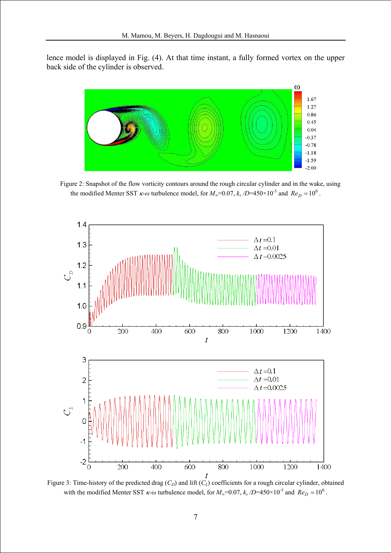lence model is displayed in Fig. (4). At that time instant, a fully formed vortex on the upper back side of the cylinder is observed.



Figure 2: Snapshot of the flow vorticity contours around the rough circular cylinder and in the wake, using the modified Menter SST  $\kappa$ -*ω* turbulence model, for  $M_{\infty}$ =0.07,  $k_s$  /D=450×10<sup>-5</sup> and  $Re_D = 10^6$ .



Figure 3: Time-history of the predicted drag  $(C_D)$  and lift  $(C_L)$  coefficients for a rough circular cylinder, obtained with the modified Menter SST  $\kappa$ -*ω* turbulence model, for  $M_{\infty}$ =0.07,  $k_s$  /D=450×10<sup>-5</sup> and  $Re_D = 10^6$ .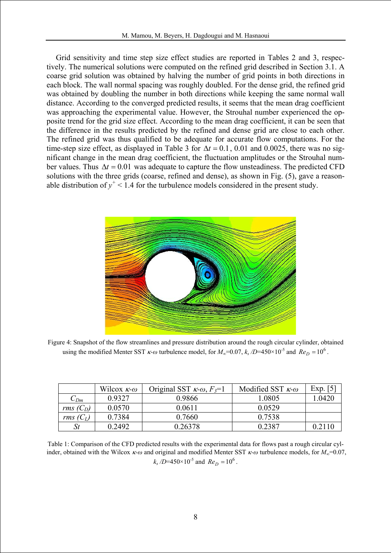Grid sensitivity and time step size effect studies are reported in Tables 2 and 3, respectively. The numerical solutions were computed on the refined grid described in Section 3.1. A coarse grid solution was obtained by halving the number of grid points in both directions in each block. The wall normal spacing was roughly doubled. For the dense grid, the refined grid was obtained by doubling the number in both directions while keeping the same normal wall distance. According to the converged predicted results, it seems that the mean drag coefficient was approaching the experimental value. However, the Strouhal number experienced the opposite trend for the grid size effect. According to the mean drag coefficient, it can be seen that the difference in the results predicted by the refined and dense grid are close to each other. The refined grid was thus qualified to be adequate for accurate flow computations. For the time-step size effect, as displayed in Table 3 for  $\Delta t = 0.1$ , 0.01 and 0.0025, there was no significant change in the mean drag coefficient, the fluctuation amplitudes or the Strouhal number values. Thus  $\Delta t = 0.01$  was adequate to capture the flow unsteadiness. The predicted CFD solutions with the three grids (coarse, refined and dense), as shown in Fig. (5), gave a reasonable distribution of  $y^+$  < 1.4 for the turbulence models considered in the present study.



Figure 4: Snapshot of the flow streamlines and pressure distribution around the rough circular cylinder, obtained using the modified Menter SST  $\kappa$ -*ω* turbulence model, for  $M_{\infty}$ =0.07,  $k_s$  /D=450×10<sup>-5</sup> and  $Re_D = 10^6$ .

|             | Wilcox $\kappa$ - $\omega$ | Original SST $\kappa$ - $\omega$ , $F_3$ =1 | Modified SST $\kappa$ - $\omega$ | Exp. $[5]$ |
|-------------|----------------------------|---------------------------------------------|----------------------------------|------------|
| $C_{Dm}$    | 0.9327                     | 0.9866                                      | 1.0805                           | 1.0420     |
| rms $(C_D)$ | 0.0570                     | 0 0 6 1 1                                   | 0.0529                           |            |
| rms $(C_L)$ | 0.7384                     | 0.7660                                      | 0.7538                           |            |
|             | 0.2492                     | 0.26378                                     | 0 2387                           | 0.2110     |

Table 1: Comparison of the CFD predicted results with the experimental data for flows past a rough circular cylinder, obtained with the Wilcox κ*-ω* and original and modified Menter SST κ*-ω* turbulence models, for *M*∞=0.07,  $k_s$  /D=450×10<sup>-5</sup> and  $Re_D = 10^6$ .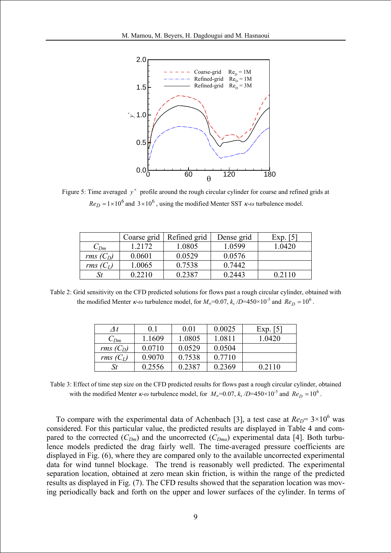

Figure 5: Time averaged  $y^+$  profile around the rough circular cylinder for coarse and refined grids at  $Re_D = 1 \times 10^6$  and  $3 \times 10^6$ , using the modified Menter SST  $\kappa$ - $\omega$  turbulence model.

|             | Coarse grid | Refined grid | Dense grid | Exp. $\lceil 5 \rceil$ |
|-------------|-------------|--------------|------------|------------------------|
| $C_{Dm}$    | 1.2172      | 1.0805       | 1.0599     | 1.0420                 |
| rms $(C_D)$ | 0.0601      | 0.0529       | 0.0576     |                        |
| rms $(C_L)$ | 1.0065      | 0.7538       | 0.7442     |                        |
|             | 0 2 2 1 0   | 0.2387       | 0.2443     | 0.2110                 |

Table 2: Grid sensitivity on the CFD predicted solutions for flows past a rough circular cylinder, obtained with the modified Menter  $\kappa$ -*ω* turbulence model, for  $M_{\infty}$ =0.07,  $k_s$  /D=450×10<sup>-5</sup> and  $Re_D = 10^6$ .

| $\Lambda t$ | 01     | 0.01   | 0.0025 | Exp. $\lceil 5 \rceil$ |
|-------------|--------|--------|--------|------------------------|
| $C_{Dm}$    | 1.1609 | 1.0805 | 1.0811 | 1.0420                 |
| rms $(C_D)$ | 0.0710 | 0.0529 | 0.0504 |                        |
| rms $(C_L)$ | 0.9070 | 0.7538 | 0.7710 |                        |
| St          | 0.2556 | 0.2387 | 0.2369 | 0.2110                 |

Table 3: Effect of time step size on the CFD predicted results for flows past a rough circular cylinder, obtained with the modified Menter  $\kappa$ -*ω* turbulence model, for  $M_{\infty}$ =0.07,  $k_s$  /D=450×10<sup>-5</sup> and  $Re_D = 10^6$ .

To compare with the experimental data of Achenbach [3], a test case at  $Re_D$ =  $3\times10^6$  was considered. For this particular value, the predicted results are displayed in Table 4 and compared to the corrected  $(C_{Dm})$  and the uncorrected  $(C_{Dmu})$  experimental data [4]. Both turbulence models predicted the drag fairly well. The time-averaged pressure coefficients are displayed in Fig. (6), where they are compared only to the available uncorrected experimental data for wind tunnel blockage. The trend is reasonably well predicted. The experimental separation location, obtained at zero mean skin friction, is within the range of the predicted results as displayed in Fig. (7). The CFD results showed that the separation location was moving periodically back and forth on the upper and lower surfaces of the cylinder. In terms of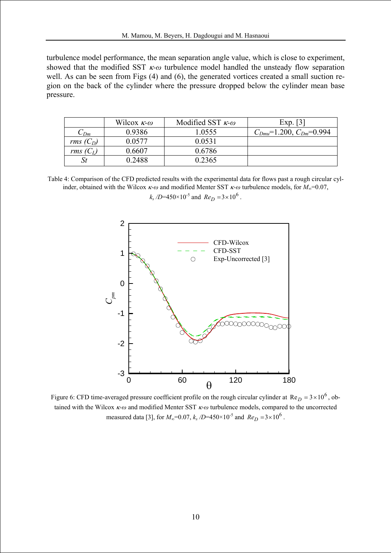turbulence model performance, the mean separation angle value, which is close to experiment, showed that the modified SST κ*-ω* turbulence model handled the unsteady flow separation well. As can be seen from Figs (4) and (6), the generated vortices created a small suction region on the back of the cylinder where the pressure dropped below the cylinder mean base pressure.

|             | Wilcox $\kappa$ - $\omega$ | Modified SST $\kappa$ - $\omega$ | Exp. $\lceil 3 \rceil$        |
|-------------|----------------------------|----------------------------------|-------------------------------|
| $C_{Dm}$    | 0.9386                     | .0555                            | $C_{Dmu}=1.200, C_{Dm}=0.994$ |
| rms $(C_D)$ | 0.0577                     | 0.0531                           |                               |
| rms(        | 0.6607                     | 0.6786                           |                               |
|             | 0.2488                     | 0.2365                           |                               |

Table 4: Comparison of the CFD predicted results with the experimental data for flows past a rough circular cylinder, obtained with the Wilcox κ*-ω* and modified Menter SST κ*-ω* turbulence models, for *M*∞=0.07,

> 2 CFD-Wilcox CFD-SST 1  $\circ$ Exp-Uncorrected [3] 0 *pm C* -1 -2 -3 0 60 120 180 θ

 $k_s$  /D=450×10<sup>-5</sup> and  $Re_D = 3 \times 10^6$ .

Figure 6: CFD time-averaged pressure coefficient profile on the rough circular cylinder at  $Re_D = 3 \times 10^6$ , obtained with the Wilcox κ*-ω* and modified Menter SST κ*-ω* turbulence models, compared to the uncorrected measured data [3], for  $M_{\infty}$ =0.07,  $k_s$  /D=450×10<sup>-5</sup> and  $Re_D = 3 \times 10^6$ .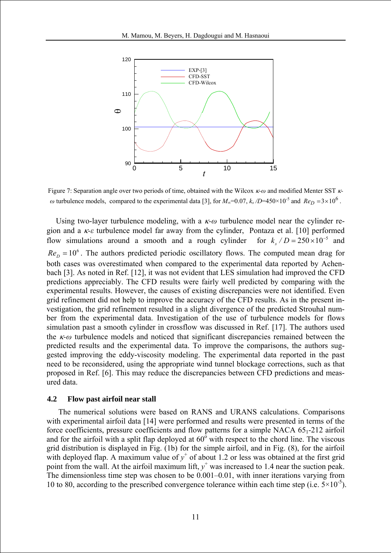

Figure 7: Separation angle over two periods of time, obtained with the Wilcox κ*-ω* and modified Menter SST κ*ω* turbulence models, compared to the experimental data [3], for  $M_{\infty}$ =0.07,  $k_s$  /D=450×10<sup>-5</sup> and  $Re_D$  =3×10<sup>6</sup>.

Using two-layer turbulence modeling, with a κ*-ω* turbulence model near the cylinder region and a κ*-ε* turbulence model far away from the cylinder, Pontaza et al. [10] performed flow simulations around a smooth and a rough cylinder  $Re<sub>D</sub> = 10<sup>6</sup>$ . The authors predicted periodic oscillatory flows. The computed mean drag for both cases was overestimated when compared to the experimental data reported by Achenbach [3]. As noted in Ref. [12], it was not evident that LES simulation had improved the CFD predictions appreciably. The CFD results were fairly well predicted by comparing with the experimental results. However, the causes of existing discrepancies were not identified. Even grid refinement did not help to improve the accuracy of the CFD results. As in the present investigation, the grid refinement resulted in a slight divergence of the predicted Strouhal number from the experimental data. Investigation of the use of turbulence models for flows simulation past a smooth cylinder in crossflow was discussed in Ref. [17]. The authors used the κ*-ω* turbulence models and noticed that significant discrepancies remained between the predicted results and the experimental data. To improve the comparisons, the authors suggested improving the eddy-viscosity modeling. The experimental data reported in the past need to be reconsidered, using the appropriate wind tunnel blockage corrections, such as that proposed in Ref. [6]. This may reduce the discrepancies between CFD predictions and measured data.  $k_s$  / D = 250  $\times$  10<sup>-5</sup>

### **4.2 Flow past airfoil near stall**

 The numerical solutions were based on RANS and URANS calculations. Comparisons with experimental airfoil data [14] were performed and results were presented in terms of the force coefficients, pressure coefficients and flow patterns for a simple NACA  $65<sub>1</sub>$ -212 airfoil and for the airfoil with a split flap deployed at  $60^{\circ}$  with respect to the chord line. The viscous grid distribution is displayed in Fig. (1b) for the simple airfoil, and in Fig. (8), for the airfoil with deployed flap. A maximum value of  $y^+$  of about 1.2 or less was obtained at the first grid point from the wall. At the airfoil maximum lift,  $y^+$  was increased to 1.4 near the suction peak. The dimensionless time step was chosen to be 0.001–0.01, with inner iterations varying from 10 to 80, according to the prescribed convergence tolerance within each time step (i.e.  $5 \times 10^{-5}$ ).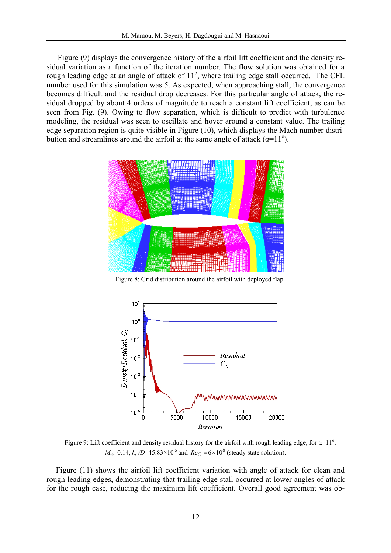Figure (9) displays the convergence history of the airfoil lift coefficient and the density residual variation as a function of the iteration number. The flow solution was obtained for a rough leading edge at an angle of attack of 11<sup>°</sup>, where trailing edge stall occurred. The CFL number used for this simulation was 5. As expected, when approaching stall, the convergence becomes difficult and the residual drop decreases. For this particular angle of attack, the residual dropped by about 4 orders of magnitude to reach a constant lift coefficient, as can be seen from Fig. (9). Owing to flow separation, which is difficult to predict with turbulence modeling, the residual was seen to oscillate and hover around a constant value. The trailing edge separation region is quite visible in Figure (10), which displays the Mach number distribution and streamlines around the airfoil at the same angle of attack  $(\alpha=11^{\circ})$ .



Figure 8: Grid distribution around the airfoil with deployed flap.



Figure 9: Lift coefficient and density residual history for the airfoil with rough leading edge, for  $\alpha=11^{\circ}$ , *M*<sub>∞</sub>=0.14, *k<sub>s</sub>* /*D*=45.83×10<sup>-5</sup> and  $Re_C = 6 \times 10^6$  (steady state solution).

Figure (11) shows the airfoil lift coefficient variation with angle of attack for clean and rough leading edges, demonstrating that trailing edge stall occurred at lower angles of attack for the rough case, reducing the maximum lift coefficient. Overall good agreement was ob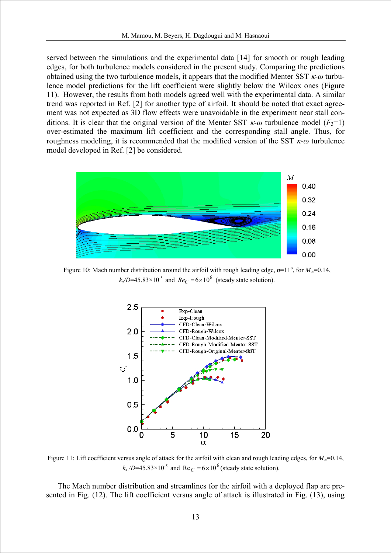served between the simulations and the experimental data [14] for smooth or rough leading edges, for both turbulence models considered in the present study. Comparing the predictions obtained using the two turbulence models, it appears that the modified Menter SST κ*-ω* turbulence model predictions for the lift coefficient were slightly below the Wilcox ones (Figure 11). However, the results from both models agreed well with the experimental data. A similar trend was reported in Ref. [2] for another type of airfoil. It should be noted that exact agreement was not expected as 3D flow effects were unavoidable in the experiment near stall conditions. It is clear that the original version of the Menter SST  $\kappa$ -*ω* turbulence model (*F*<sub>3</sub>=1) over-estimated the maximum lift coefficient and the corresponding stall angle. Thus, for roughness modeling, it is recommended that the modified version of the SST κ*-ω* turbulence model developed in Ref. [2] be considered.



Figure 10: Mach number distribution around the airfoil with rough leading edge,  $\alpha=11^\circ$ , for  $M_\infty=0.14$ ,  $k_s/D$ =45.83×10<sup>-5</sup> and  $Re_C = 6 \times 10^6$  (steady state solution).



Figure 11: Lift coefficient versus angle of attack for the airfoil with clean and rough leading edges, for *M*∞=0.14,  $k_s$  /D=45.83×10<sup>-5</sup> and Re<sub>C</sub> = 6×10<sup>6</sup> (steady state solution).

The Mach number distribution and streamlines for the airfoil with a deployed flap are presented in Fig. (12). The lift coefficient versus angle of attack is illustrated in Fig. (13), using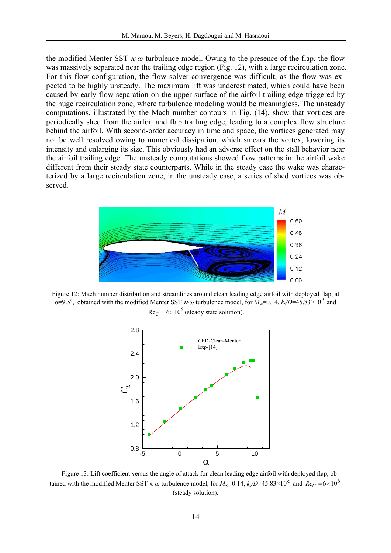the modified Menter SST κ*-ω* turbulence model. Owing to the presence of the flap, the flow was massively separated near the trailing edge region (Fig. 12), with a large recirculation zone. For this flow configuration, the flow solver convergence was difficult, as the flow was expected to be highly unsteady. The maximum lift was underestimated, which could have been caused by early flow separation on the upper surface of the airfoil trailing edge triggered by the huge recirculation zone, where turbulence modeling would be meaningless. The unsteady computations, illustrated by the Mach number contours in Fig. (14), show that vortices are periodically shed from the airfoil and flap trailing edge, leading to a complex flow structure behind the airfoil. With second-order accuracy in time and space, the vortices generated may not be well resolved owing to numerical dissipation, which smears the vortex, lowering its intensity and enlarging its size. This obviously had an adverse effect on the stall behavior near the airfoil trailing edge. The unsteady computations showed flow patterns in the airfoil wake different from their steady state counterparts. While in the steady case the wake was characterized by a large recirculation zone, in the unsteady case, a series of shed vortices was observed.



Figure 12: Mach number distribution and streamlines around clean leading edge airfoil with deployed flap, at  $\alpha$ =9.5°, obtained with the modified Menter SST  $\kappa$ -*ω* turbulence model, for  $M_{\infty}$ =0.14,  $k_s/D$ =45.83×10<sup>-5</sup> and  $\text{Re}_C = 6 \times 10^6$  (steady state solution).



Figure 13: Lift coefficient versus the angle of attack for clean leading edge airfoil with deployed flap, obtained with the modified Menter SST  $\kappa$ -*ω* turbulence model, for  $M_{\infty}$ =0.14,  $k_s/D$ =45.83×10<sup>-5</sup> and  $Re_C = 6 \times 10^6$ (steady solution).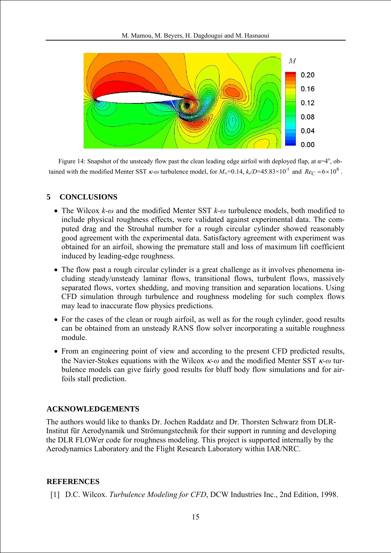

Figure 14: Snapshot of the unsteady flow past the clean leading edge airfoil with deployed flap, at  $\alpha=4^{\circ}$ , obtained with the modified Menter SST  $\kappa$ -*ω* turbulence model, for  $M_{\infty}$ =0.14,  $k/D$ =45.83×10<sup>-5</sup> and  $Re_C = 6 \times 10^6$ .

# **5 CONCLUSIONS**

- The Wilcox *k-ω* and the modified Menter SST *k-ω* turbulence models, both modified to include physical roughness effects, were validated against experimental data. The computed drag and the Strouhal number for a rough circular cylinder showed reasonably good agreement with the experimental data. Satisfactory agreement with experiment was obtained for an airfoil, showing the premature stall and loss of maximum lift coefficient induced by leading-edge roughness.
- The flow past a rough circular cylinder is a great challenge as it involves phenomena including steady/unsteady laminar flows, transitional flows, turbulent flows, massively separated flows, vortex shedding, and moving transition and separation locations. Using CFD simulation through turbulence and roughness modeling for such complex flows may lead to inaccurate flow physics predictions.
- For the cases of the clean or rough airfoil, as well as for the rough cylinder, good results can be obtained from an unsteady RANS flow solver incorporating a suitable roughness module.
- From an engineering point of view and according to the present CFD predicted results, the Navier-Stokes equations with the Wilcox κ*-ω* and the modified Menter SST κ*-ω* turbulence models can give fairly good results for bluff body flow simulations and for airfoils stall prediction.

## **ACKNOWLEDGEMENTS**

The authors would like to thanks Dr. Jochen Raddatz and Dr. Thorsten Schwarz from DLR-Institut für Aerodynamik und Strömungstechnik for their support in running and developing the DLR FLOWer code for roughness modeling. This project is supported internally by the Aerodynamics Laboratory and the Flight Research Laboratory within IAR/NRC.

## **REFERENCES**

[1] D.C. Wilcox. *Turbulence Modeling for CFD*, DCW Industries Inc., 2nd Edition, 1998.